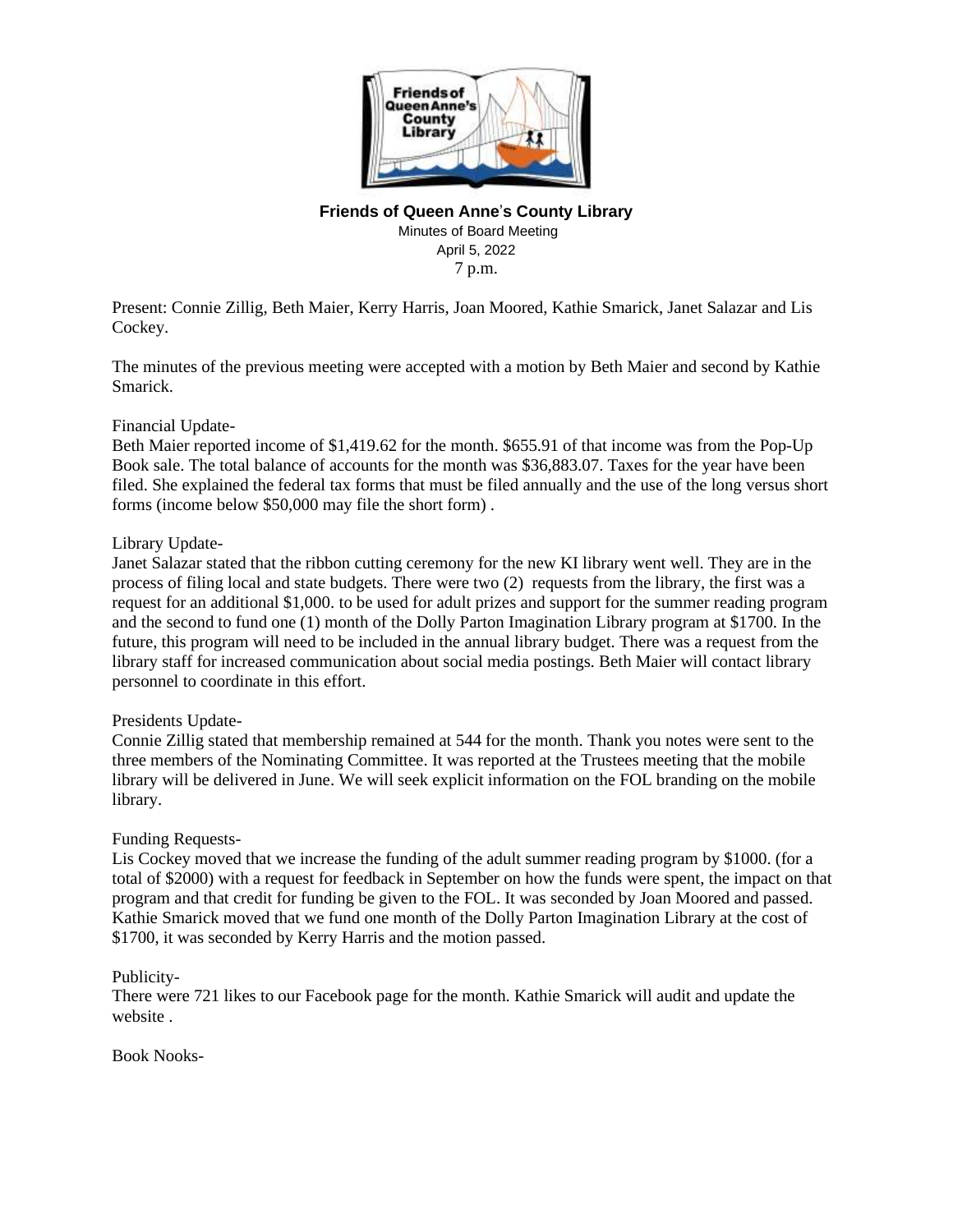

# **Friends of Queen Anne**'**s County Library**

Minutes of Board Meeting April 5, 2022 7 p.m.

Present: Connie Zillig, Beth Maier, Kerry Harris, Joan Moored, Kathie Smarick, Janet Salazar and Lis Cockey.

The minutes of the previous meeting were accepted with a motion by Beth Maier and second by Kathie Smarick.

## Financial Update-

Beth Maier reported income of \$1,419.62 for the month. \$655.91 of that income was from the Pop-Up Book sale. The total balance of accounts for the month was \$36,883.07. Taxes for the year have been filed. She explained the federal tax forms that must be filed annually and the use of the long versus short forms (income below \$50,000 may file the short form) .

## Library Update-

Janet Salazar stated that the ribbon cutting ceremony for the new KI library went well. They are in the process of filing local and state budgets. There were two (2) requests from the library, the first was a request for an additional \$1,000. to be used for adult prizes and support for the summer reading program and the second to fund one (1) month of the Dolly Parton Imagination Library program at \$1700. In the future, this program will need to be included in the annual library budget. There was a request from the library staff for increased communication about social media postings. Beth Maier will contact library personnel to coordinate in this effort.

#### Presidents Update-

Connie Zillig stated that membership remained at 544 for the month. Thank you notes were sent to the three members of the Nominating Committee. It was reported at the Trustees meeting that the mobile library will be delivered in June. We will seek explicit information on the FOL branding on the mobile library.

#### Funding Requests-

Lis Cockey moved that we increase the funding of the adult summer reading program by \$1000. (for a total of \$2000) with a request for feedback in September on how the funds were spent, the impact on that program and that credit for funding be given to the FOL. It was seconded by Joan Moored and passed. Kathie Smarick moved that we fund one month of the Dolly Parton Imagination Library at the cost of \$1700, it was seconded by Kerry Harris and the motion passed.

#### Publicity-

There were 721 likes to our Facebook page for the month. Kathie Smarick will audit and update the website .

Book Nooks-